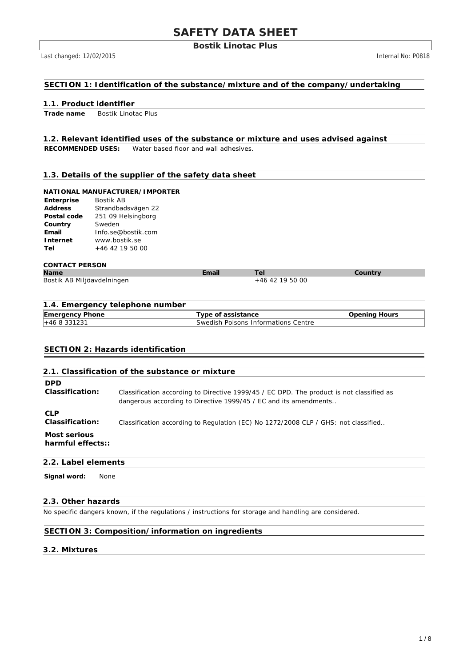## **Bostik Linotac Plus**

Last changed: 12/02/2015 10:000 13:000 13:000 13:000 14:000 14:000 14:000 14:000 14:000 14:000 14:000 14:000 14:000 14:000 14:000 14:000 14:000 14:000 14:000 14:000 14:000 14:000 14:000 14:000 14:000 14:000 14:000 14:000 1

## **SECTION 1: Identification of the substance/mixture and of the company/undertaking**

## **1.1. Product identifier**

**Trade name** Bostik Linotac Plus

# **1.2. Relevant identified uses of the substance or mixture and uses advised against**

**RECOMMENDED USES:** Water based floor and wall adhesives.

## **1.3. Details of the supplier of the safety data sheet**

## **NATIONAL MANUFACTURER/IMPORTER**

| Bostik AB          |
|--------------------|
| Strandbadsvägen 22 |
| 251 09 Helsingborg |
| Sweden             |
| Info.se@bostik.com |
| www.bostik.se      |
| $+46$ 42 19 50 00  |
|                    |

## **CONTACT PERSON**

| Name                       | Email |                 | Country |
|----------------------------|-------|-----------------|---------|
| Bostik AB Miljöavdelningen |       | +46 42 19 50 00 |         |

### **1.4. Emergency telephone number**

|                        | Ennot gonoy tolophono humbor        |               |
|------------------------|-------------------------------------|---------------|
| <b>Emergency Phone</b> | Tvpe of assistance                  | Opening Hours |
| +46 8 331231           | Swedish Poisons Informations Centre |               |

# **SECTION 2: Hazards identification**

| 2.1. Classification of the substance or mixture                                                                                                              |
|--------------------------------------------------------------------------------------------------------------------------------------------------------------|
| Classification according to Directive 1999/45 / EC DPD. The product is not classified as<br>dangerous according to Directive 1999/45 / EC and its amendments |
| Classification according to Regulation (EC) No 1272/2008 CLP / GHS: not classified                                                                           |
|                                                                                                                                                              |
|                                                                                                                                                              |

#### **2.2. Label elements**

**Signal word:** None

## **2.3. Other hazards**

No specific dangers known, if the regulations / instructions for storage and handling are considered.

## **SECTION 3: Composition/information on ingredients**

## **3.2. Mixtures**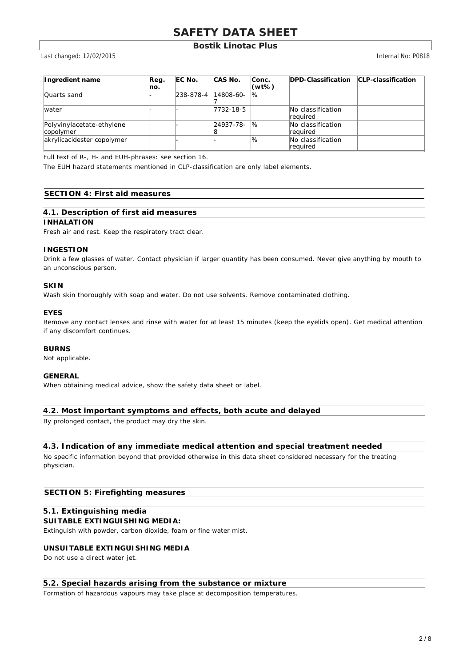# **Bostik Linotac Plus**

Last changed: 12/02/2015 Internal No: P0818

| Ingredient name                        | Reg.<br>lno. | <b>IEC No.</b> | CAS No.        | Conc.<br>$(wt\%)$ | DPD-Classification            | CLP-classification |
|----------------------------------------|--------------|----------------|----------------|-------------------|-------------------------------|--------------------|
| Quarts sand                            |              | 238-878-4      | $14808 - 60 -$ | 1%                |                               |                    |
| lwater                                 |              |                | 7732-18-5      |                   | No classification<br>reauired |                    |
| Polyvinylacetate-ethylene<br>copolymer |              |                | 24937-78-      | 1%                | No classification<br>required |                    |
| akrylicacidester copolymer             |              |                |                | 1%                | No classification<br>reauired |                    |

Full text of R-, H- and EUH-phrases: see section 16.

The EUH hazard statements mentioned in CLP-classification are only label elements.

## **SECTION 4: First aid measures**

### **4.1. Description of first aid measures**

### **INHALATION**

Fresh air and rest. Keep the respiratory tract clear.

#### **INGESTION**

Drink a few glasses of water. Contact physician if larger quantity has been consumed. Never give anything by mouth to an unconscious person.

### **SKIN**

Wash skin thoroughly with soap and water. Do not use solvents. Remove contaminated clothing.

#### **EYES**

Remove any contact lenses and rinse with water for at least 15 minutes (keep the eyelids open). Get medical attention if any discomfort continues.

#### **BURNS**

Not applicable.

## **GENERAL**

When obtaining medical advice, show the safety data sheet or label.

## **4.2. Most important symptoms and effects, both acute and delayed**

By prolonged contact, the product may dry the skin.

## **4.3. Indication of any immediate medical attention and special treatment needed**

No specific information beyond that provided otherwise in this data sheet considered necessary for the treating physician.

## **SECTION 5: Firefighting measures**

#### **5.1. Extinguishing media**

#### **SUITABLE EXTINGUISHING MEDIA:**

Extinguish with powder, carbon dioxide, foam or fine water mist.

### **UNSUITABLE EXTINGUISHING MEDIA**

Do not use a direct water jet.

#### **5.2. Special hazards arising from the substance or mixture**

Formation of hazardous vapours may take place at decomposition temperatures.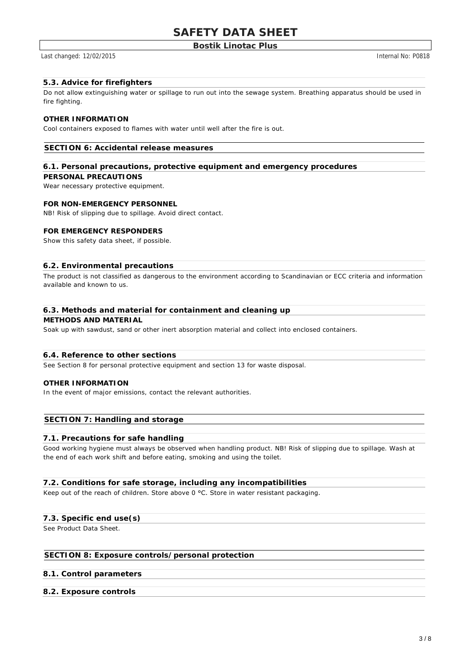## **Bostik Linotac Plus**

Last changed: 12/02/2015 Internal No: P0818

## **5.3. Advice for firefighters**

Do not allow extinguishing water or spillage to run out into the sewage system. Breathing apparatus should be used in fire fighting.

### **OTHER INFORMATION**

Cool containers exposed to flames with water until well after the fire is out.

## **SECTION 6: Accidental release measures**

#### **6.1. Personal precautions, protective equipment and emergency procedures**

#### **PERSONAL PRECAUTIONS**

Wear necessary protective equipment.

#### **FOR NON-EMERGENCY PERSONNEL**

NB! Risk of slipping due to spillage. Avoid direct contact.

### **FOR EMERGENCY RESPONDERS**

Show this safety data sheet, if possible.

### **6.2. Environmental precautions**

The product is not classified as dangerous to the environment according to Scandinavian or ECC criteria and information available and known to us.

### **6.3. Methods and material for containment and cleaning up**

#### **METHODS AND MATERIAL**

Soak up with sawdust, sand or other inert absorption material and collect into enclosed containers.

## **6.4. Reference to other sections**

See Section 8 for personal protective equipment and section 13 for waste disposal.

## **OTHER INFORMATION**

In the event of major emissions, contact the relevant authorities.

## **SECTION 7: Handling and storage**

# **7.1. Precautions for safe handling**

Good working hygiene must always be observed when handling product. NB! Risk of slipping due to spillage. Wash at the end of each work shift and before eating, smoking and using the toilet.

#### **7.2. Conditions for safe storage, including any incompatibilities**

Keep out of the reach of children. Store above 0  $\degree$ C. Store in water resistant packaging.

## **7.3. Specific end use(s)**

See Product Data Sheet.

## **SECTION 8: Exposure controls/personal protection**

## **8.1. Control parameters**

### **8.2. Exposure controls**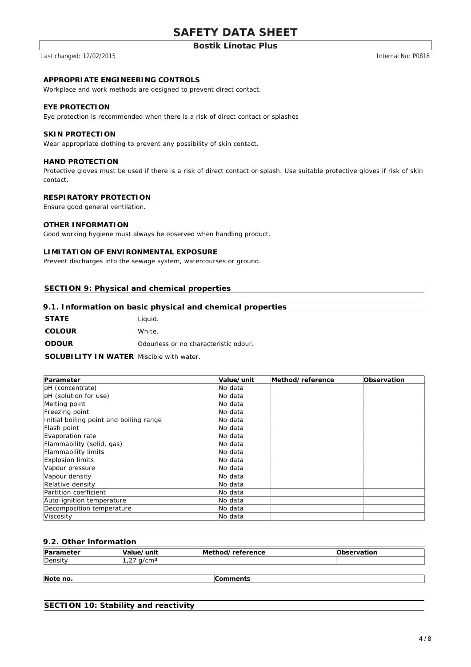# **Bostik Linotac Plus**

Last changed: 12/02/2015 12/02/2015 11ternal No: P0818

## **APPROPRIATE ENGINEERING CONTROLS**

Workplace and work methods are designed to prevent direct contact.

### **EYE PROTECTION**

Eye protection is recommended when there is a risk of direct contact or splashes

## **SKIN PROTECTION**

Wear appropriate clothing to prevent any possibility of skin contact.

#### **HAND PROTECTION**

Protective gloves must be used if there is a risk of direct contact or splash. Use suitable protective gloves if risk of skin contact.

## **RESPIRATORY PROTECTION**

Ensure good general ventilation.

## **OTHER INFORMATION**

Good working hygiene must always be observed when handling product.

## **LIMITATION OF ENVIRONMENTAL EXPOSURE**

Prevent discharges into the sewage system, watercourses or ground.

## **SECTION 9: Physical and chemical properties**

## **9.1. Information on basic physical and chemical properties**

| <b>STATE</b>  | Liguid.                               |
|---------------|---------------------------------------|
| <b>COLOUR</b> | White.                                |
| <b>ODOUR</b>  | Odourless or no characteristic odour. |

**SOLUBILITY IN WATER** Miscible with water.

| Parameter                               | Value/unit | Method/reference | Observation |
|-----------------------------------------|------------|------------------|-------------|
| pH (concentrate)                        | lNo data   |                  |             |
| pH (solution for use)                   | lNo data   |                  |             |
| Melting point                           | No data    |                  |             |
| Freezing point                          | No data    |                  |             |
| Initial boiling point and boiling range | No data    |                  |             |
| Flash point                             | No data    |                  |             |
| Evaporation rate                        | No data    |                  |             |
| Flammability (solid, gas)               | No data    |                  |             |
| Flammability limits                     | No data    |                  |             |
| Explosion limits                        | No data    |                  |             |
| Vapour pressure                         | No data    |                  |             |
| Vapour density                          | No data    |                  |             |
| Relative density                        | No data    |                  |             |
| Partition coefficient                   | No data    |                  |             |
| Auto-ignition temperature               | No data    |                  |             |
| Decomposition temperature               | No data    |                  |             |
| Viscosity                               | No data    |                  |             |

## **9.2. Other information**

| <b>Para</b><br>meter | ʻunit<br>۱e.<br>'val                               | 'reference<br>Мŧ | vation |
|----------------------|----------------------------------------------------|------------------|--------|
| Density              | $\sim$ $-$<br>$\sqrt{2}$<br>u,<br>ᄓ<br>1 J . Z . / |                  |        |
|                      |                                                    |                  |        |

**Note no. Comments**

# **SECTION 10: Stability and reactivity**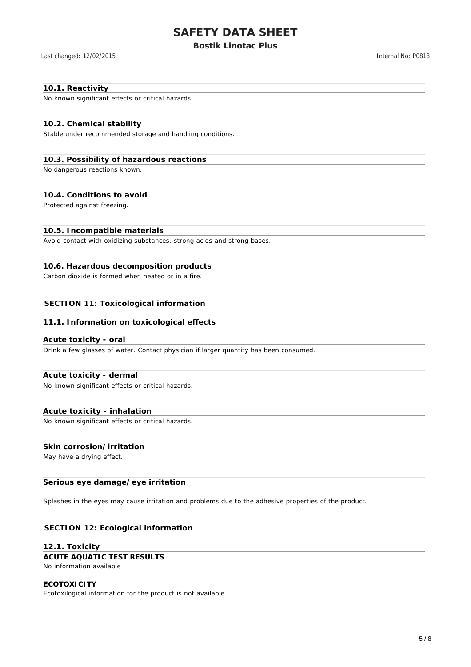## **Bostik Linotac Plus**

Last changed: 12/02/2015 12/02/2015 11ternal No: P0818

## **10.1. Reactivity**

No known significant effects or critical hazards.

## **10.2. Chemical stability**

Stable under recommended storage and handling conditions.

## **10.3. Possibility of hazardous reactions**

No dangerous reactions known.

## **10.4. Conditions to avoid**

Protected against freezing.

## **10.5. Incompatible materials**

Avoid contact with oxidizing substances, strong acids and strong bases.

## **10.6. Hazardous decomposition products**

Carbon dioxide is formed when heated or in a fire.

## **SECTION 11: Toxicological information**

#### **11.1. Information on toxicological effects**

#### **Acute toxicity - oral**

Drink a few glasses of water. Contact physician if larger quantity has been consumed.

## **Acute toxicity - dermal**

No known significant effects or critical hazards.

## **Acute toxicity - inhalation**

No known significant effects or critical hazards.

### **Skin corrosion/irritation**

May have a drying effect.

## **Serious eye damage/eye irritation**

Splashes in the eyes may cause irritation and problems due to the adhesive properties of the product.

# **SECTION 12: Ecological information**

#### **12.1. Toxicity**

### **ACUTE AQUATIC TEST RESULTS**

No information available

## **ECOTOXICITY**

Ecotoxilogical information for the product is not available.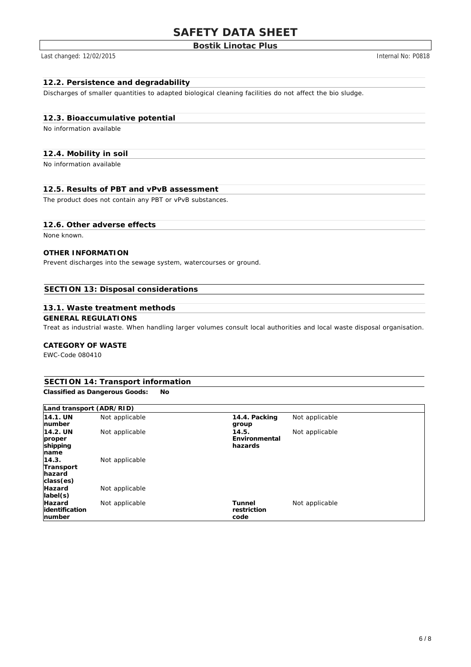## **Bostik Linotac Plus**

Last changed: 12/02/2015 10:000 13:000 13:000 13:000 14:000 14:000 14:000 14:000 14:000 14:000 14:000 14:000 14:000 14:000 14:000 14:000 14:000 14:000 14:000 14:000 14:000 14:000 14:000 14:000 14:000 14:000 14:000 14:000 1

## **12.2. Persistence and degradability**

Discharges of smaller quantities to adapted biological cleaning facilities do not affect the bio sludge.

## **12.3. Bioaccumulative potential**

No information available

## **12.4. Mobility in soil**

No information available

## **12.5. Results of PBT and vPvB assessment**

The product does not contain any PBT or vPvB substances.

## **12.6. Other adverse effects**

None known.

#### **OTHER INFORMATION**

Prevent discharges into the sewage system, watercourses or ground.

## **SECTION 13: Disposal considerations**

# **13.1. Waste treatment methods**

## **GENERAL REGULATIONS**

Treat as industrial waste. When handling larger volumes consult local authorities and local waste disposal organisation.

#### **CATEGORY OF WASTE**

EWC-Code 080410

# **SECTION 14: Transport information**

**Classified as Dangerous Goods: No**

| Land transport (ADR/RID) |                |                                 |
|--------------------------|----------------|---------------------------------|
| 14.1. UN                 | Not applicable | 14.4. Packing<br>Not applicable |
| number                   |                | group                           |
| 14.2. UN                 | Not applicable | Not applicable<br>14.5.         |
| proper                   |                | Environmental                   |
| shipping                 |                | hazards                         |
| name                     |                |                                 |
| 14.3.                    | Not applicable |                                 |
| Transport                |                |                                 |
| <b>hazard</b>            |                |                                 |
| class(es)                |                |                                 |
| <b>Hazard</b>            | Not applicable |                                 |
| label(s)                 |                |                                 |
| <b>Hazard</b>            | Not applicable | Tunnel<br>Not applicable        |
| lidentification          |                | restriction                     |
| number                   |                | code                            |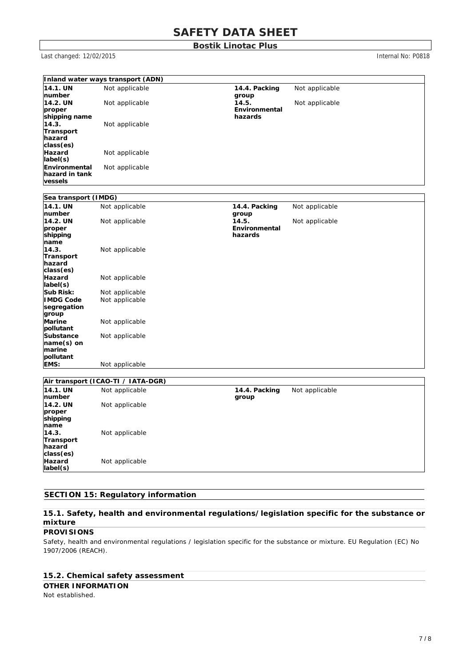**Bostik Linotac Plus**

Last changed: 12/02/2015 10:000 10:000 10:000 10:000 10:000 10:000 10:000 10:000 10:000 10:000 10:000 10:000 10:000 10:000 10:000 10:000 10:000 10:000 10:000 10:000 10:000 10:000 10:000 10:000 10:000 10:000 10:000 10:000 1

|                                 | Inland water ways transport (ADN)  |               |                |
|---------------------------------|------------------------------------|---------------|----------------|
| 14.1. UN                        | Not applicable                     | 14.4. Packing | Not applicable |
| number                          |                                    | group         |                |
| 14.2. UN                        | Not applicable                     | 14.5.         | Not applicable |
| proper                          |                                    | Environmental |                |
| shipping name                   |                                    | hazards       |                |
| 14.3.                           | Not applicable                     |               |                |
| Transport                       |                                    |               |                |
| hazard                          |                                    |               |                |
| class(es)                       |                                    |               |                |
| Hazard<br>label(s)              | Not applicable                     |               |                |
| Environmental<br>hazard in tank | Not applicable                     |               |                |
| vessels                         |                                    |               |                |
|                                 |                                    |               |                |
| Sea transport (IMDG)            |                                    |               |                |
| 14.1. UN                        | Not applicable                     | 14.4. Packing | Not applicable |
| number                          |                                    | group         |                |
| 14.2. UN                        | Not applicable                     | 14.5.         | Not applicable |
| proper                          |                                    | Environmental |                |
| shipping<br>name                |                                    | hazards       |                |
| 14.3.                           | Not applicable                     |               |                |
| Transport                       |                                    |               |                |
| hazard<br>class(es)             |                                    |               |                |
| Hazard<br>label(s)              | Not applicable                     |               |                |
| Sub Risk:                       | Not applicable                     |               |                |
| <b>IMDG Code</b>                | Not applicable                     |               |                |
| segregation                     |                                    |               |                |
| group                           |                                    |               |                |
| Marine                          | Not applicable                     |               |                |
| pollutant                       |                                    |               |                |
| Substance                       | Not applicable                     |               |                |
| name(s) on                      |                                    |               |                |
| marine<br>pollutant             |                                    |               |                |
| EMS:                            |                                    |               |                |
|                                 | Not applicable                     |               |                |
|                                 | Air transport (ICAO-TI / IATA-DGR) |               |                |
| 14.1. UN                        | Not applicable                     | 14.4. Packing | Not applicable |
| number                          |                                    | group         |                |
| 14.2. UN                        | Not applicable                     |               |                |
| proper                          |                                    |               |                |
| shipping<br>name                |                                    |               |                |
| 14.3.                           | Not applicable                     |               |                |

**Transport hazard class(es)** Not applicable **Hazard label(s)** Not applicable

# **SECTION 15: Regulatory information**

# **15.1. Safety, health and environmental regulations/legislation specific for the substance or mixture**

# **PROVISIONS**

Safety, health and environmental regulations / legislation specific for the substance or mixture. EU Regulation (EC) No 1907/2006 (REACH).

# **15.2. Chemical safety assessment**

# **OTHER INFORMATION**

Not established.